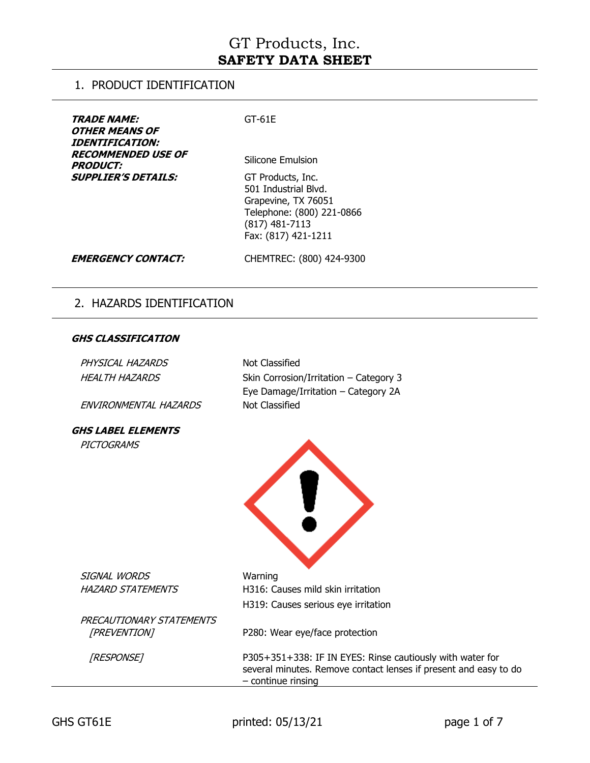### 1. PRODUCT IDENTIFICATION

| <b>TRADE NAME:</b><br><b>OTHER MEANS OF</b><br><i><b>IDENTIFICATION:</b></i><br><b>RECOMMENDED USE OF</b><br><b>PRODUCT:</b> | $GT-61E$<br>Silicone Emulsion                                                                                                          |
|------------------------------------------------------------------------------------------------------------------------------|----------------------------------------------------------------------------------------------------------------------------------------|
| <b>SUPPLIER'S DETAILS:</b>                                                                                                   | GT Products, Inc.<br>501 Industrial Blvd.<br>Grapevine, TX 76051<br>Telephone: (800) 221-0866<br>(817) 481-7113<br>Fax: (817) 421-1211 |
| <b>EMERGENCY CONTACT:</b>                                                                                                    | CHEMTREC: (800) 424-9300                                                                                                               |

## 2. HAZARDS IDENTIFICATION

#### **GHS CLASSIFICATION**

| PHYSICAL HAZARDS<br><b>HEALTH HAZARDS</b> | <b>Not Classified</b><br>Skin Corrosion/Irritation - Category 3<br>Eye Damage/Irritation - Category 2A                                                |
|-------------------------------------------|-------------------------------------------------------------------------------------------------------------------------------------------------------|
| ENVIRONMENTAL HAZARDS                     | Not Classified                                                                                                                                        |
| <b>GHS LABEL ELEMENTS</b>                 |                                                                                                                                                       |
| <b>PICTOGRAMS</b>                         |                                                                                                                                                       |
|                                           |                                                                                                                                                       |
|                                           |                                                                                                                                                       |
|                                           |                                                                                                                                                       |
|                                           |                                                                                                                                                       |
|                                           |                                                                                                                                                       |
|                                           |                                                                                                                                                       |
| SIGNAL WORDS                              | Warning                                                                                                                                               |
| <b>HAZARD STATEMENTS</b>                  | H316: Causes mild skin irritation                                                                                                                     |
|                                           | H319: Causes serious eye irritation                                                                                                                   |
| PRECAUTIONARY STATEMENTS                  |                                                                                                                                                       |
| [PREVENTION]                              | P280: Wear eye/face protection                                                                                                                        |
| [RESPONSE]                                | P305+351+338: IF IN EYES: Rinse cautiously with water for<br>several minutes. Remove contact lenses if present and easy to do<br>$-$ continue rinsing |
|                                           |                                                                                                                                                       |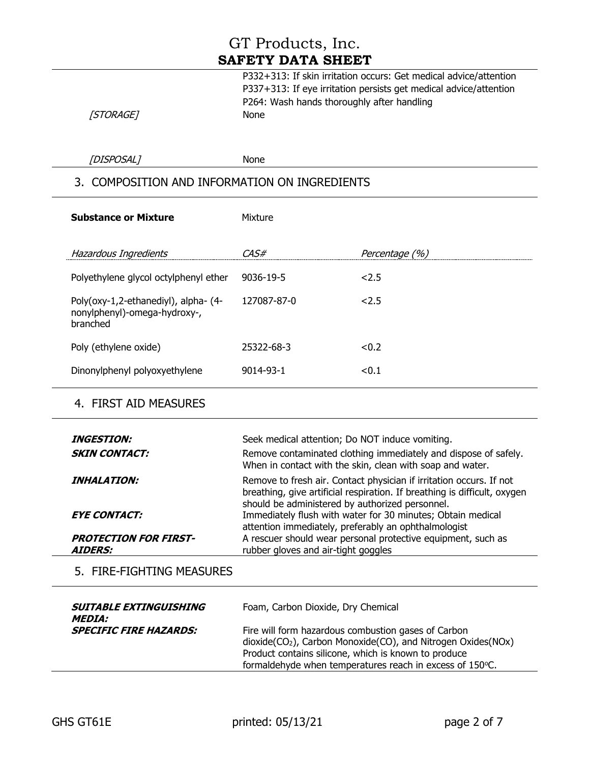| P332+313: If skin irritation occurs: Get medical advice/attention |
|-------------------------------------------------------------------|
| P337+313: If eye irritation persists get medical advice/attention |
| P264: Wash hands thoroughly after handling                        |
| <b>None</b>                                                       |

[STORAGE]

[DISPOSAL] None

## 3. COMPOSITION AND INFORMATION ON INGREDIENTS

| <b>Substance or Mixture</b>                                                      | Mixture     |                |
|----------------------------------------------------------------------------------|-------------|----------------|
| Hazardous Ingredients                                                            | ~4 S#       | Percentage (%) |
| Polyethylene glycol octylphenyl ether                                            | 9036-19-5   | 2.5            |
| Poly(oxy-1,2-ethanediyl), alpha- (4-<br>nonylphenyl)-omega-hydroxy-,<br>branched | 127087-87-0 | 2.5            |
| Poly (ethylene oxide)                                                            | 25322-68-3  | < 0.2          |
| Dinonylphenyl polyoxyethylene                                                    | 9014-93-1   | < 0.1          |

### 4. FIRST AID MEASURES

| <i><b>INGESTION:</b></i><br><b>SKIN CONTACT:</b> | Seek medical attention; Do NOT induce vomiting.<br>Remove contaminated clothing immediately and dispose of safely.<br>When in contact with the skin, clean with soap and water.                     |
|--------------------------------------------------|-----------------------------------------------------------------------------------------------------------------------------------------------------------------------------------------------------|
| <i><b>INHALATION:</b></i>                        | Remove to fresh air. Contact physician if irritation occurs. If not<br>breathing, give artificial respiration. If breathing is difficult, oxygen<br>should be administered by authorized personnel. |
| <b>EYE CONTACT:</b>                              | Immediately flush with water for 30 minutes; Obtain medical<br>attention immediately, preferably an ophthalmologist                                                                                 |
| <b>PROTECTION FOR FIRST-</b><br><b>AIDERS:</b>   | A rescuer should wear personal protective equipment, such as<br>rubber gloves and air-tight goggles                                                                                                 |

## 5. FIRE-FIGHTING MEASURES

| <b>SUITABLE EXTINGUISHING</b><br><i><b>MEDIA:</b></i> | Foam, Carbon Dioxide, Dry Chemical                                                                                                                                                                                                                               |
|-------------------------------------------------------|------------------------------------------------------------------------------------------------------------------------------------------------------------------------------------------------------------------------------------------------------------------|
| <b>SPECIFIC FIRE HAZARDS:</b>                         | Fire will form hazardous combustion gases of Carbon<br>dioxide(CO <sub>2</sub> ), Carbon Monoxide(CO), and Nitrogen Oxides(NO <sub>x</sub> )<br>Product contains silicone, which is known to produce<br>formaldehyde when temperatures reach in excess of 150°C. |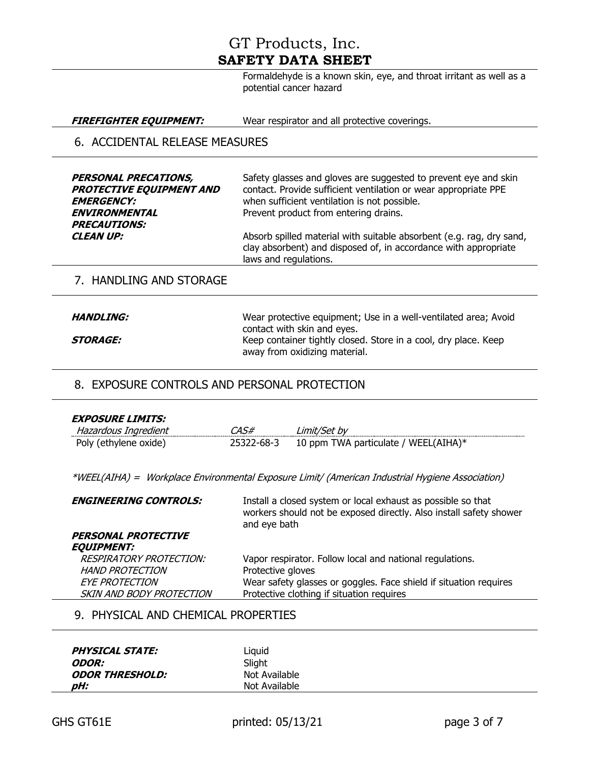Formaldehyde is a known skin, eye, and throat irritant as well as a potential cancer hazard

#### **FIREFIGHTER EQUIPMENT:** Wear respirator and all protective coverings.

### 6. ACCIDENTAL RELEASE MEASURES

| <b>PERSONAL PRECATIONS,</b><br><b>PROTECTIVE EQUIPMENT AND</b><br><b>EMERGENCY:</b><br><b>ENVIRONMENTAL</b><br><b>PRECAUTIONS:</b> | Safety glasses and gloves are suggested to prevent eye and skin<br>contact. Provide sufficient ventilation or wear appropriate PPE<br>when sufficient ventilation is not possible.<br>Prevent product from entering drains. |
|------------------------------------------------------------------------------------------------------------------------------------|-----------------------------------------------------------------------------------------------------------------------------------------------------------------------------------------------------------------------------|
| <b>CLEAN UP:</b>                                                                                                                   | Absorb spilled material with suitable absorbent (e.g. rag, dry sand,<br>clay absorbent) and disposed of, in accordance with appropriate<br>laws and regulations.                                                            |

#### 7. HANDLING AND STORAGE

| <i><b>HANDLING:</b></i> | Wear protective equipment; Use in a well-ventilated area; Avoid |
|-------------------------|-----------------------------------------------------------------|
|                         | contact with skin and eyes.                                     |
| <i><b>STORAGE:</b></i>  | Keep container tightly closed. Store in a cool, dry place. Keep |
|                         | away from oxidizing material.                                   |

### 8. EXPOSURE CONTROLS AND PERSONAL PROTECTION

| <b>EXPOSURE LIMITS:</b> |            |                                      |
|-------------------------|------------|--------------------------------------|
| Hazardous Ingredient    | 74.S#      | _imit/Set bv                         |
| Poly (ethylene oxide)   | 25322-68-3 | 10 ppm TWA particulate / WEEL(AIHA)* |

\*WEEL(AIHA) = Workplace Environmental Exposure Limit/ (American Industrial Hygiene Association)

| <b>ENGINEERING CONTROLS:</b>                                                                                  | Install a closed system or local exhaust as possible so that<br>workers should not be exposed directly. Also install safety shower<br>and eye bath                                              |
|---------------------------------------------------------------------------------------------------------------|-------------------------------------------------------------------------------------------------------------------------------------------------------------------------------------------------|
| <b>PERSONAL PROTECTIVE</b><br><b>EQUIPMENT:</b>                                                               |                                                                                                                                                                                                 |
| <b>RESPIRATORY PROTECTION:</b><br><b>HAND PROTECTION</b><br><b>EYE PROTECTION</b><br>SKIN AND BODY PROTECTION | Vapor respirator. Follow local and national regulations.<br>Protective gloves<br>Wear safety glasses or goggles. Face shield if situation requires<br>Protective clothing if situation requires |

#### 9. PHYSICAL AND CHEMICAL PROPERTIES

| <b>PHYSICAL STATE:</b>        | Liauid        |  |
|-------------------------------|---------------|--|
| <i><b>ODOR:</b></i>           | Slight        |  |
| <i><b>ODOR THRESHOLD:</b></i> | Not Available |  |
| pH:                           | Not Available |  |
|                               |               |  |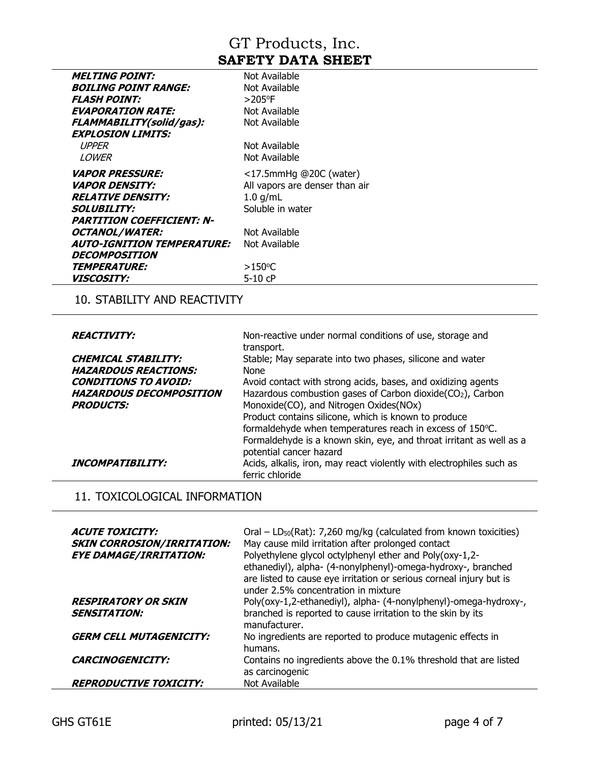| <i><b>MELTING POINT:</b></i>      | Not Available                  |
|-----------------------------------|--------------------------------|
| <i>BOILING POINT RANGE:</i>       | Not Available                  |
| <b>FLASH POINT:</b>               | $>205$ °F                      |
| <b>EVAPORATION RATE:</b>          | Not Available                  |
| FLAMMABILITY(solid/gas):          | Not Available                  |
| <b>EXPLOSION LIMITS:</b>          |                                |
| UPPER                             | Not Available                  |
| LOWER                             | Not Available                  |
| <i><b>VAPOR PRESSURE:</b></i>     | $<$ 17.5mmHg @20C (water)      |
| <i><b>VAPOR DENSITY:</b></i>      | All vapors are denser than air |
| <b>RELATIVE DENSITY:</b>          | $1.0$ g/mL                     |
| <b>SOLUBILITY:</b>                | Soluble in water               |
| <b>PARTITION COEFFICIENT: N-</b>  |                                |
| <b>OCTANOL/WATER:</b>             | Not Available                  |
| <b>AUTO-IGNITION TEMPERATURE:</b> | Not Available                  |
| <b>DECOMPOSITION</b>              |                                |
| <i><b>TEMPERATURE:</b></i>        | $>150^{\circ}$ C               |
| <i><b>VISCOSITY:</b></i>          | $5-10$ cP                      |

## 10. STABILITY AND REACTIVITY

| <b>REACTIVITY:</b>             | Non-reactive under normal conditions of use, storage and<br>transport. |
|--------------------------------|------------------------------------------------------------------------|
| <b>CHEMICAL STABILITY:</b>     | Stable; May separate into two phases, silicone and water               |
|                                |                                                                        |
| <b>HAZARDOUS REACTIONS:</b>    | <b>None</b>                                                            |
| <b>CONDITIONS TO AVOID:</b>    | Avoid contact with strong acids, bases, and oxidizing agents           |
| <b>HAZARDOUS DECOMPOSITION</b> | Hazardous combustion gases of Carbon dioxide(CO <sub>2</sub> ), Carbon |
| <b>PRODUCTS:</b>               | Monoxide(CO), and Nitrogen Oxides(NOx)                                 |
|                                | Product contains silicone, which is known to produce                   |
|                                | formaldehyde when temperatures reach in excess of 150°C.               |
|                                | Formaldehyde is a known skin, eye, and throat irritant as well as a    |
|                                | potential cancer hazard                                                |
| <b>INCOMPATIBILITY:</b>        | Acids, alkalis, iron, may react violently with electrophiles such as   |
|                                | ferric chloride                                                        |

## 11. TOXICOLOGICAL INFORMATION

| <b>ACUTE TOXICITY:</b><br><b>SKIN CORROSION/IRRITATION:</b><br><b>EYE DAMAGE/IRRITATION:</b> | Oral – $LD_{50}(Rat)$ : 7,260 mg/kg (calculated from known toxicities)<br>May cause mild irritation after prolonged contact<br>Polyethylene glycol octylphenyl ether and Poly(oxy-1,2-<br>ethanediyl), alpha- (4-nonylphenyl)-omega-hydroxy-, branched<br>are listed to cause eye irritation or serious corneal injury but is<br>under 2.5% concentration in mixture |
|----------------------------------------------------------------------------------------------|----------------------------------------------------------------------------------------------------------------------------------------------------------------------------------------------------------------------------------------------------------------------------------------------------------------------------------------------------------------------|
| <b>RESPIRATORY OR SKIN</b><br><b>SENSITATION:</b>                                            | Poly(oxy-1,2-ethanediyl), alpha- (4-nonylphenyl)-omega-hydroxy-,<br>branched is reported to cause irritation to the skin by its<br>manufacturer.                                                                                                                                                                                                                     |
| <b>GERM CELL MUTAGENICITY:</b>                                                               | No ingredients are reported to produce mutagenic effects in<br>humans.                                                                                                                                                                                                                                                                                               |
| <b>CARCINOGENICITY:</b>                                                                      | Contains no ingredients above the 0.1% threshold that are listed<br>as carcinogenic                                                                                                                                                                                                                                                                                  |
| <b>REPRODUCTIVE TOXICITY:</b>                                                                | Not Available                                                                                                                                                                                                                                                                                                                                                        |

 $\overline{\phantom{a}}$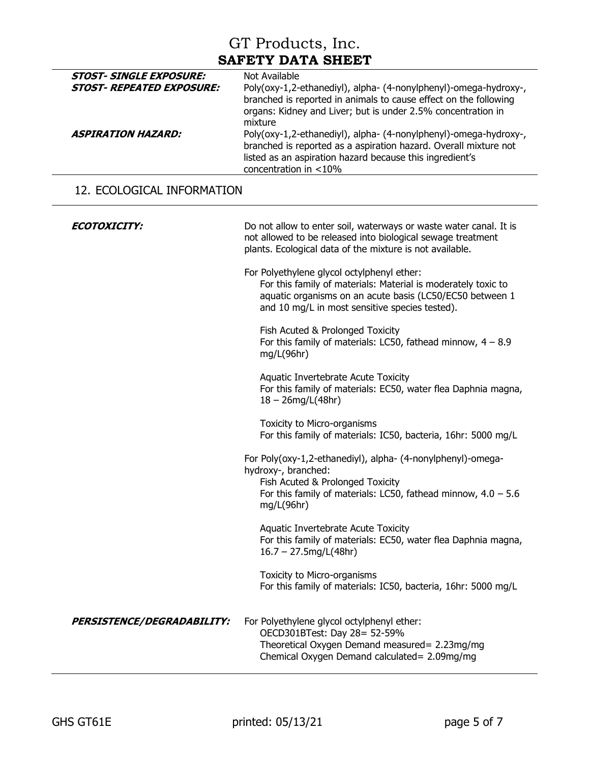| <b>STOST- REPEATED EXPOSURE:</b><br>Poly(oxy-1,2-ethanediyl), alpha- (4-nonylphenyl)-omega-hydroxy-,<br>branched is reported in animals to cause effect on the following<br>organs: Kidney and Liver; but is under 2.5% concentration in<br>mixture<br>Poly(oxy-1,2-ethanediyl), alpha- (4-nonylphenyl)-omega-hydroxy-,<br><i><b>ASPIRATION HAZARD:</b></i> |  | <b>STOST- SINGLE EXPOSURE:</b> |
|-------------------------------------------------------------------------------------------------------------------------------------------------------------------------------------------------------------------------------------------------------------------------------------------------------------------------------------------------------------|--|--------------------------------|
|                                                                                                                                                                                                                                                                                                                                                             |  |                                |
| branched is reported as a aspiration hazard. Overall mixture not<br>listed as an aspiration hazard because this ingredient's<br>concentration in <10%                                                                                                                                                                                                       |  |                                |

## 12. ECOLOGICAL INFORMATION

| <i>ECOTOXICITY:</i>               | Do not allow to enter soil, waterways or waste water canal. It is                                                                                                                                                         |
|-----------------------------------|---------------------------------------------------------------------------------------------------------------------------------------------------------------------------------------------------------------------------|
|                                   | not allowed to be released into biological sewage treatment<br>plants. Ecological data of the mixture is not available.                                                                                                   |
|                                   | For Polyethylene glycol octylphenyl ether:<br>For this family of materials: Material is moderately toxic to<br>aquatic organisms on an acute basis (LC50/EC50 between 1<br>and 10 mg/L in most sensitive species tested). |
|                                   | Fish Acuted & Prolonged Toxicity<br>For this family of materials: LC50, fathead minnow, $4 - 8.9$<br>mg/L(96hr)                                                                                                           |
|                                   | Aquatic Invertebrate Acute Toxicity<br>For this family of materials: EC50, water flea Daphnia magna,<br>$18 - 26$ mg/L(48hr)                                                                                              |
|                                   | Toxicity to Micro-organisms<br>For this family of materials: IC50, bacteria, 16hr: 5000 mg/L                                                                                                                              |
|                                   | For Poly(oxy-1,2-ethanediyl), alpha- (4-nonylphenyl)-omega-<br>hydroxy-, branched:                                                                                                                                        |
|                                   | Fish Acuted & Prolonged Toxicity<br>For this family of materials: LC50, fathead minnow, $4.0 - 5.6$<br>mg/L(96hr)                                                                                                         |
|                                   | Aquatic Invertebrate Acute Toxicity<br>For this family of materials: EC50, water flea Daphnia magna,<br>$16.7 - 27.5$ mg/L(48hr)                                                                                          |
|                                   | Toxicity to Micro-organisms<br>For this family of materials: IC50, bacteria, 16hr: 5000 mg/L                                                                                                                              |
| <b>PERSISTENCE/DEGRADABILITY:</b> | For Polyethylene glycol octylphenyl ether:<br>OECD301BTest: Day 28= 52-59%<br>Theoretical Oxygen Demand measured= 2.23mg/mg<br>Chemical Oxygen Demand calculated= 2.09mg/mg                                               |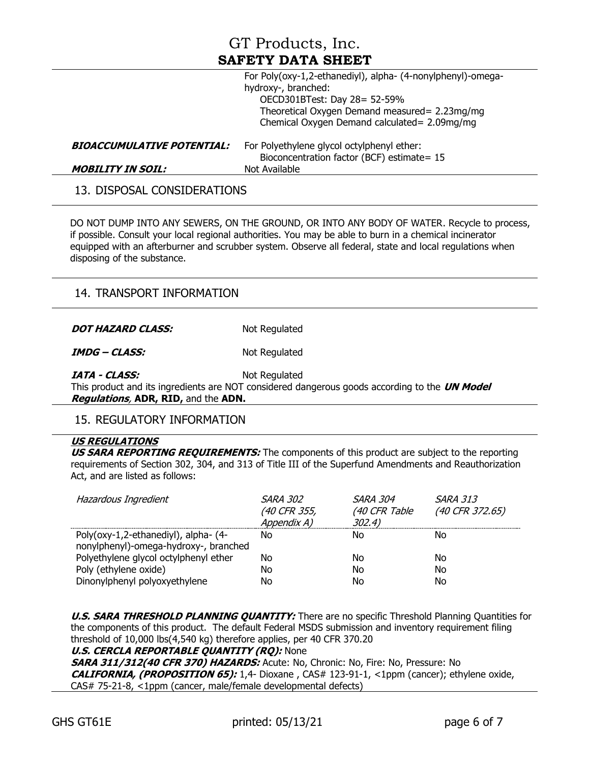|                                   | For Poly(oxy-1,2-ethanediyl), alpha- (4-nonylphenyl)-omega-<br>hydroxy-, branched:<br>OECD301BTest: Day 28= 52-59% |
|-----------------------------------|--------------------------------------------------------------------------------------------------------------------|
|                                   | Theoretical Oxygen Demand measured = 2.23mg/mg<br>Chemical Oxygen Demand calculated = 2.09mg/mg                    |
| <b>BIOACCUMULATIVE POTENTIAL:</b> | For Polyethylene glycol octylphenyl ether:<br>Bioconcentration factor (BCF) estimate= 15                           |
| <b>MOBILITY IN SOIL:</b>          | Not Available                                                                                                      |

13. DISPOSAL CONSIDERATIONS

DO NOT DUMP INTO ANY SEWERS, ON THE GROUND, OR INTO ANY BODY OF WATER. Recycle to process, if possible. Consult your local regional authorities. You may be able to burn in a chemical incinerator equipped with an afterburner and scrubber system. Observe all federal, state and local regulations when disposing of the substance.

### 14. TRANSPORT INFORMATION

**DOT HAZARD CLASS:** Not Regulated

**IMDG – CLASS:** Not Regulated

**IATA - CLASS:** Not Regulated

This product and its ingredients are NOT considered dangerous goods according to the **UN Model Regulations**, **ADR, RID,** and the **ADN.**

### 15. REGULATORY INFORMATION

#### **US REGULATIONS**

**US SARA REPORTING REQUIREMENTS:** The components of this product are subject to the reporting requirements of Section 302, 304, and 313 of Title III of the Superfund Amendments and Reauthorization Act, and are listed as follows:

| Hazardous Ingredient                                                          | <b>SARA 302</b><br>(40 CFR 355,<br>Appendix A) | <i>SARA 304</i><br>(40 CFR Table<br>302.4) | <b>SARA 313</b><br>(40 CFR 372.65) |
|-------------------------------------------------------------------------------|------------------------------------------------|--------------------------------------------|------------------------------------|
| Poly(oxy-1,2-ethanediyl), alpha- (4-<br>nonylphenyl)-omega-hydroxy-, branched | No                                             | No                                         | No                                 |
| Polyethylene glycol octylphenyl ether                                         | Nο                                             | Nο                                         | No                                 |
| Poly (ethylene oxide)                                                         | No                                             | No                                         | No                                 |
| Dinonylphenyl polyoxyethylene                                                 | No                                             | No                                         | No                                 |

**U.S. SARA THRESHOLD PLANNING QUANTITY:** There are no specific Threshold Planning Quantities for the components of this product. The default Federal MSDS submission and inventory requirement filing threshold of 10,000 lbs(4,540 kg) therefore applies, per 40 CFR 370.20

**U.S. CERCLA REPORTABLE QUANTITY (RQ):** None **SARA 311/312(40 CFR 370) HAZARDS:** Acute: No, Chronic: No, Fire: No, Pressure: No **CALIFORNIA, (PROPOSITION 65):** 1,4- Dioxane , CAS# 123-91-1, <1ppm (cancer); ethylene oxide, CAS# 75-21-8, <1ppm (cancer, male/female developmental defects)